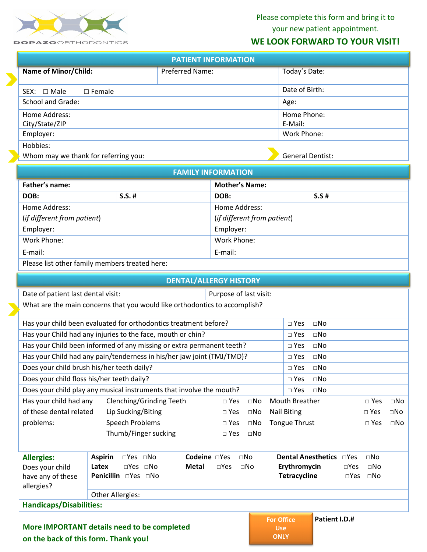

Please complete this form and bring it to your new patient appointment.

## **WE LOOK FORWARD TO YOUR VISIT!**

| <b>PATIENT INFORMATION</b>           |                         |               |  |  |
|--------------------------------------|-------------------------|---------------|--|--|
| <b>Name of Minor/Child:</b>          | <b>Preferred Name:</b>  | Today's Date: |  |  |
| $\Box$ Female<br>$SEX: \Box$ Male    | Date of Birth:          |               |  |  |
| School and Grade:                    | Age:                    |               |  |  |
| Home Address:                        | Home Phone:             |               |  |  |
| City/State/ZIP                       | E-Mail:                 |               |  |  |
| Employer:                            | Work Phone:             |               |  |  |
| Hobbies:                             |                         |               |  |  |
| Whom may we thank for referring you: | <b>General Dentist:</b> |               |  |  |

| <b>FAMILY INFORMATION</b>                      |  |                             |         |  |
|------------------------------------------------|--|-----------------------------|---------|--|
| Father's name:                                 |  | <b>Mother's Name:</b>       |         |  |
| $S.S.$ #<br>DOB:                               |  | DOB:                        | $S.S$ # |  |
| Home Address:                                  |  | Home Address:               |         |  |
| (if different from patient)                    |  | (if different from patient) |         |  |
| Employer:                                      |  | Employer:                   |         |  |
| Work Phone:                                    |  | Work Phone:                 |         |  |
| E-mail:                                        |  | E-mail:                     |         |  |
| Please list other family members treated here: |  |                             |         |  |

| <b>DENTAL/ALLERGY HISTORY</b>                                                                                      |                 |                                                                            |  |                        |              |                   |                       |                           |               |               |              |
|--------------------------------------------------------------------------------------------------------------------|-----------------|----------------------------------------------------------------------------|--|------------------------|--------------|-------------------|-----------------------|---------------------------|---------------|---------------|--------------|
| Date of patient last dental visit:                                                                                 |                 |                                                                            |  | Purpose of last visit: |              |                   |                       |                           |               |               |              |
|                                                                                                                    |                 | What are the main concerns that you would like orthodontics to accomplish? |  |                        |              |                   |                       |                           |               |               |              |
| Has your child been evaluated for orthodontics treatment before?                                                   |                 |                                                                            |  |                        |              |                   | $\square$ Yes         | $\Box$ No                 |               |               |              |
|                                                                                                                    |                 | Has your Child had any injuries to the face, mouth or chin?                |  |                        |              |                   | $\square$ Yes         | $\Box$ No                 |               |               |              |
|                                                                                                                    |                 | Has your Child been informed of any missing or extra permanent teeth?      |  |                        |              |                   | $\Box$ Yes            | $\square$ No              |               |               |              |
|                                                                                                                    |                 | Has your Child had any pain/tenderness in his/her jaw joint (TMJ/TMD)?     |  |                        |              |                   | $\Box$ Yes            | $\square$ No              |               |               |              |
| Does your child brush his/her teeth daily?                                                                         |                 |                                                                            |  |                        |              |                   | $\square$ Yes         | $\Box$ No                 |               |               |              |
| Does your child floss his/her teeth daily?                                                                         |                 |                                                                            |  |                        |              |                   | $\square$ Yes         | $\square$ No              |               |               |              |
|                                                                                                                    |                 | Does your child play any musical instruments that involve the mouth?       |  |                        |              |                   | $\square$ Yes         | $\Box$ No                 |               |               |              |
| Has your child had any<br>Clenching/Grinding Teeth                                                                 |                 |                                                                            |  | $\Box$ Yes             | $\square$ No |                   | <b>Mouth Breather</b> |                           |               | $\sqcap$ Yes  | $\square$ No |
| of these dental related<br>Lip Sucking/Biting                                                                      |                 |                                                                            |  | $\square$ Yes          | $\square$ No |                   | <b>Nail Biting</b>    |                           |               | $\Box$ Yes    | $\square$ No |
| problems:                                                                                                          | Speech Problems |                                                                            |  | $\Box$ Yes             | $\square$ No |                   | Tongue Thrust         |                           |               | $\square$ Yes | $\square$ No |
| Thumb/Finger sucking                                                                                               |                 |                                                                            |  | $\Box$ Yes             | $\square$ No |                   |                       |                           |               |               |              |
|                                                                                                                    |                 |                                                                            |  |                        |              |                   |                       |                           |               |               |              |
| <b>Allergies:</b>                                                                                                  |                 | Codeine □Yes<br><b>Aspirin</b><br>$\Box$ Yes $\Box$ No                     |  |                        | $\Box$ No    |                   |                       | <b>Dental Anesthetics</b> | $\neg$ Yes    | $\Box$ No     |              |
| Does your child                                                                                                    | Latex           | $\Box$ Yes $\Box$ No<br><b>Metal</b>                                       |  | $\square$ Yes          | $\Box$ No    |                   | Erythromycin          |                           | $\square$ Yes | $\Box$ No     |              |
| <b>Penicillin</b> □Yes □No<br><b>Tetracycline</b><br>$\square$ Yes<br>$\Box$ No<br>have any of these<br>allergies? |                 |                                                                            |  |                        |              |                   |                       |                           |               |               |              |
| Other Allergies:                                                                                                   |                 |                                                                            |  |                        |              |                   |                       |                           |               |               |              |
| <b>Handicaps/Disabilities:</b>                                                                                     |                 |                                                                            |  |                        |              |                   |                       |                           |               |               |              |
|                                                                                                                    |                 |                                                                            |  |                        |              | <b>For Office</b> |                       | Patient I.D.#             |               |               |              |

**More IMPORTANT details need to be completed on the back of this form. Thank you!**

**For Office Use**

**ONLY**